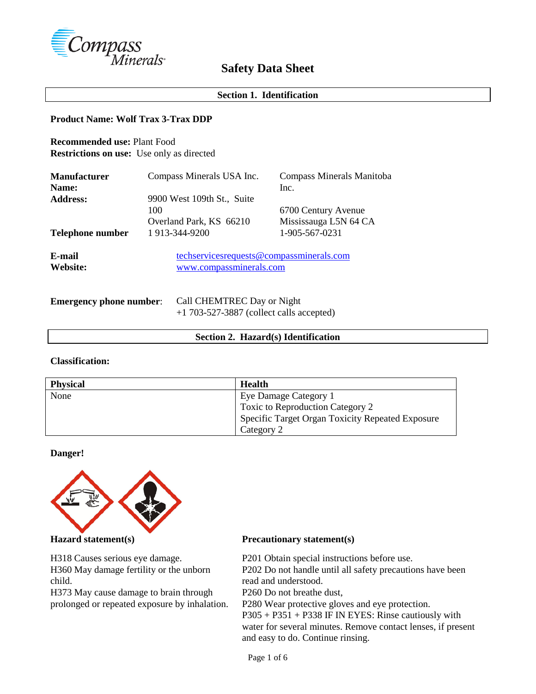

# **Safety Data Sheet**

# **Section 1. Identification**

## **Product Name: Wolf Trax 3-Trax DDP**

**Recommended use:** Plant Food **Restrictions on use:** Use only as directed

| <b>Manufacturer</b><br>Name: | Compass Minerals USA Inc.                                           | Compass Minerals Manitoba<br>Inc.            |
|------------------------------|---------------------------------------------------------------------|----------------------------------------------|
| <b>Address:</b>              | 9900 West 109th St., Suite<br>100<br>Overland Park, KS 66210        | 6700 Century Avenue<br>Mississauga L5N 64 CA |
| Telephone number             | 1 913-344-9200                                                      | 1-905-567-0231                               |
| E-mail<br>Website:           | techservicesrequests@compassminerals.com<br>www.compassminerals.com |                                              |

| <b>Emergency phone number:</b> | Call CHEMTREC Day or Night                 |  |  |
|--------------------------------|--------------------------------------------|--|--|
|                                | $+1$ 703-527-3887 (collect calls accepted) |  |  |

#### **Section 2. Hazard(s) Identification**

### **Classification:**

| <b>Physical</b> | Health                                           |
|-----------------|--------------------------------------------------|
| None            | Eye Damage Category 1                            |
|                 | Toxic to Reproduction Category 2                 |
|                 | Specific Target Organ Toxicity Repeated Exposure |
|                 | Category 2                                       |

## **Danger!**



H318 Causes serious eye damage. H360 May damage fertility or the unborn child.

H373 May cause damage to brain through prolonged or repeated exposure by inhalation.

## **Hazard statement(s) Precautionary statement(s)**

P201 Obtain special instructions before use. P202 Do not handle until all safety precautions have been read and understood. P260 Do not breathe dust, P280 Wear protective gloves and eye protection. P305 + P351 + P338 IF IN EYES: Rinse cautiously with water for several minutes. Remove contact lenses, if present and easy to do. Continue rinsing.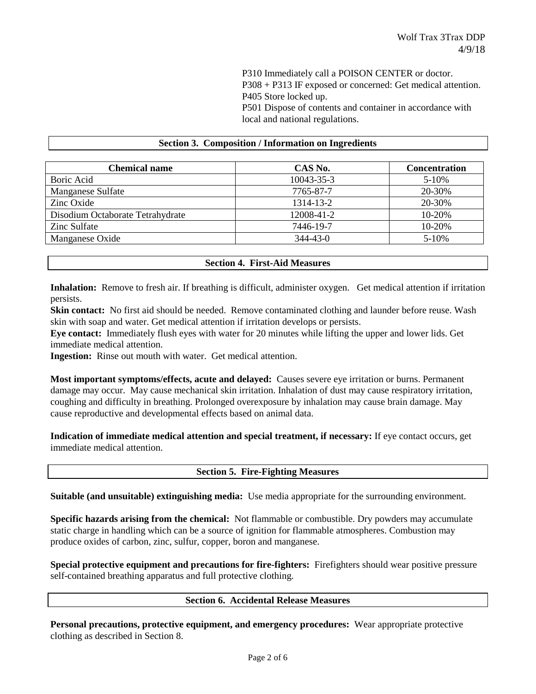P310 Immediately call a POISON CENTER or doctor. P308 + P313 IF exposed or concerned: Get medical attention. P405 Store locked up. P501 Dispose of contents and container in accordance with local and national regulations.

#### **Section 3. Composition / Information on Ingredients**

| <b>Chemical name</b>             | CAS No.        | <b>Concentration</b> |
|----------------------------------|----------------|----------------------|
| Boric Acid                       | 10043-35-3     | 5-10%                |
| Manganese Sulfate                | 7765-87-7      | 20-30%               |
| Zinc Oxide                       | 1314-13-2      | 20-30%               |
| Disodium Octaborate Tetrahydrate | 12008-41-2     | 10-20%               |
| Zinc Sulfate                     | 7446-19-7      | 10-20%               |
| Manganese Oxide                  | $344 - 43 - 0$ | $5 - 10%$            |

|  | <b>Section 4. First-Aid Measures</b> |  |
|--|--------------------------------------|--|
|--|--------------------------------------|--|

**Inhalation:** Remove to fresh air. If breathing is difficult, administer oxygen. Get medical attention if irritation persists.

**Skin contact:** No first aid should be needed. Remove contaminated clothing and launder before reuse. Wash skin with soap and water. Get medical attention if irritation develops or persists.

**Eye contact:** Immediately flush eyes with water for 20 minutes while lifting the upper and lower lids. Get immediate medical attention.

**Ingestion:** Rinse out mouth with water. Get medical attention.

**Most important symptoms/effects, acute and delayed:** Causes severe eye irritation or burns. Permanent damage may occur. May cause mechanical skin irritation. Inhalation of dust may cause respiratory irritation, coughing and difficulty in breathing. Prolonged overexposure by inhalation may cause brain damage. May cause reproductive and developmental effects based on animal data.

**Indication of immediate medical attention and special treatment, if necessary:** If eye contact occurs, get immediate medical attention.

**Section 5. Fire-Fighting Measures**

**Suitable (and unsuitable) extinguishing media:** Use media appropriate for the surrounding environment.

**Specific hazards arising from the chemical:** Not flammable or combustible. Dry powders may accumulate static charge in handling which can be a source of ignition for flammable atmospheres. Combustion may produce oxides of carbon, zinc, sulfur, copper, boron and manganese.

**Special protective equipment and precautions for fire-fighters:** Firefighters should wear positive pressure self-contained breathing apparatus and full protective clothing.

### **Section 6. Accidental Release Measures**

**Personal precautions, protective equipment, and emergency procedures:** Wear appropriate protective clothing as described in Section 8.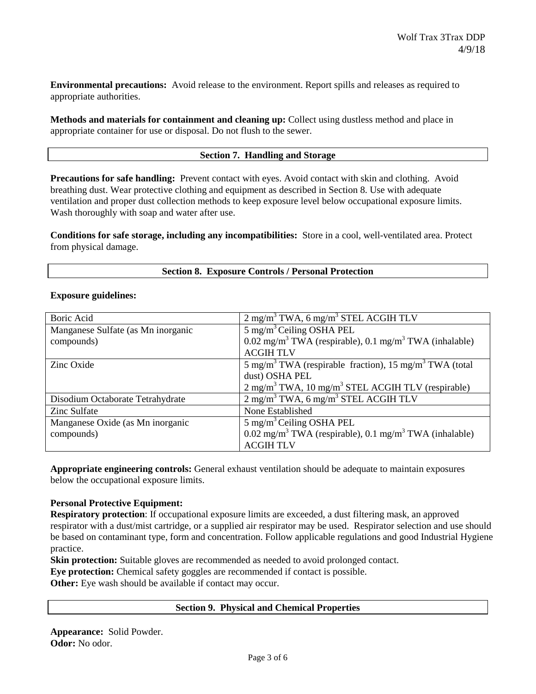**Environmental precautions:** Avoid release to the environment. Report spills and releases as required to appropriate authorities.

**Methods and materials for containment and cleaning up:** Collect using dustless method and place in appropriate container for use or disposal. Do not flush to the sewer.

## **Section 7. Handling and Storage**

**Precautions for safe handling:** Prevent contact with eyes. Avoid contact with skin and clothing. Avoid breathing dust. Wear protective clothing and equipment as described in Section 8. Use with adequate ventilation and proper dust collection methods to keep exposure level below occupational exposure limits. Wash thoroughly with soap and water after use.

**Conditions for safe storage, including any incompatibilities:** Store in a cool, well-ventilated area. Protect from physical damage.

|  | <b>Section 8. Exposure Controls / Personal Protection</b> |  |  |  |
|--|-----------------------------------------------------------|--|--|--|
|--|-----------------------------------------------------------|--|--|--|

### **Exposure guidelines:**

| Boric Acid                         | $2 \text{ mg/m}^3$ TWA, 6 mg/m <sup>3</sup> STEL ACGIH TLV                     |  |  |
|------------------------------------|--------------------------------------------------------------------------------|--|--|
| Manganese Sulfate (as Mn inorganic | $\frac{1}{5}$ mg/m <sup>3</sup> Ceiling OSHA PEL                               |  |  |
| compounds)                         | $0.02 \text{ mg/m}^3$ TWA (respirable), $0.1 \text{ mg/m}^3$ TWA (inhalable)   |  |  |
|                                    | <b>ACGIHTLV</b>                                                                |  |  |
| Zinc Oxide                         | 5 mg/m <sup>3</sup> TWA (respirable fraction), 15 mg/m <sup>3</sup> TWA (total |  |  |
|                                    | dust) OSHA PEL                                                                 |  |  |
|                                    | $2 \text{ mg/m}^3$ TWA, 10 mg/m <sup>3</sup> STEL ACGIH TLV (respirable)       |  |  |
| Disodium Octaborate Tetrahydrate   | $2 \text{ mg/m}^3$ TWA, 6 mg/m <sup>3</sup> STEL ACGIH TLV                     |  |  |
| Zinc Sulfate                       | None Established                                                               |  |  |
| Manganese Oxide (as Mn inorganic   | $5 \text{ mg/m}^3$ Ceiling OSHA PEL                                            |  |  |
| compounds)                         | $0.02 \text{ mg/m}^3$ TWA (respirable), 0.1 mg/m <sup>3</sup> TWA (inhalable)  |  |  |
|                                    | <b>ACGIH TLV</b>                                                               |  |  |

**Appropriate engineering controls:** General exhaust ventilation should be adequate to maintain exposures below the occupational exposure limits.

### **Personal Protective Equipment:**

**Respiratory protection**: If occupational exposure limits are exceeded, a dust filtering mask, an approved respirator with a dust/mist cartridge, or a supplied air respirator may be used. Respirator selection and use should be based on contaminant type, form and concentration. Follow applicable regulations and good Industrial Hygiene practice.

**Skin protection:** Suitable gloves are recommended as needed to avoid prolonged contact.

**Eye protection:** Chemical safety goggles are recommended if contact is possible.

**Other:** Eye wash should be available if contact may occur.

## **Section 9. Physical and Chemical Properties**

**Appearance:** Solid Powder. **Odor:** No odor.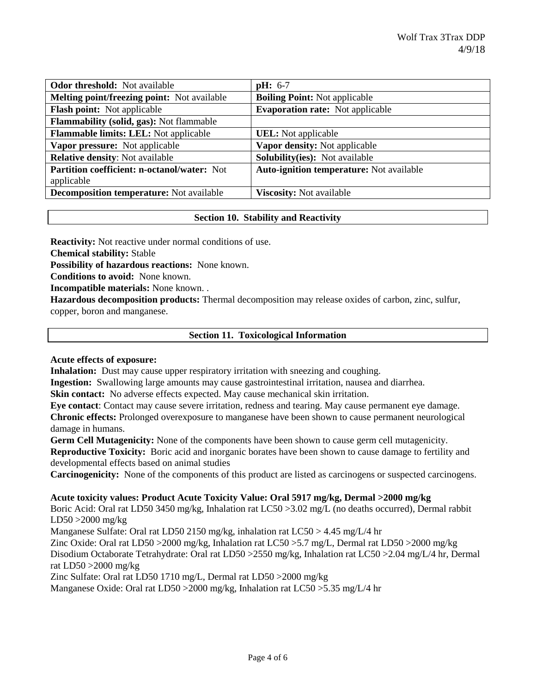| <b>Odor threshold:</b> Not available            | $pH: 6-7$                                |
|-------------------------------------------------|------------------------------------------|
| Melting point/freezing point: Not available     | <b>Boiling Point:</b> Not applicable     |
| <b>Flash point:</b> Not applicable              | <b>Evaporation rate:</b> Not applicable  |
| <b>Flammability (solid, gas):</b> Not flammable |                                          |
| Flammable limits: LEL: Not applicable           | <b>UEL:</b> Not applicable               |
| Vapor pressure: Not applicable                  | Vapor density: Not applicable            |
| <b>Relative density:</b> Not available          | <b>Solubility(ies):</b> Not available    |
| Partition coefficient: n-octanol/water: Not     | Auto-ignition temperature: Not available |
| applicable                                      |                                          |
| <b>Decomposition temperature:</b> Not available | <b>Viscosity:</b> Not available          |

## **Section 10. Stability and Reactivity**

**Reactivity:** Not reactive under normal conditions of use.

**Chemical stability:** Stable

**Possibility of hazardous reactions:** None known.

**Conditions to avoid:** None known.

**Incompatible materials:** None known. .

**Hazardous decomposition products:** Thermal decomposition may release oxides of carbon, zinc, sulfur, copper, boron and manganese.

## **Section 11. Toxicological Information**

### **Acute effects of exposure:**

**Inhalation:** Dust may cause upper respiratory irritation with sneezing and coughing.

**Ingestion:** Swallowing large amounts may cause gastrointestinal irritation, nausea and diarrhea.

**Skin contact:** No adverse effects expected. May cause mechanical skin irritation.

**Eye contact**: Contact may cause severe irritation, redness and tearing. May cause permanent eye damage. **Chronic effects:** Prolonged overexposure to manganese have been shown to cause permanent neurological damage in humans.

**Germ Cell Mutagenicity:** None of the components have been shown to cause germ cell mutagenicity. **Reproductive Toxicity:** Boric acid and inorganic borates have been shown to cause damage to fertility and developmental effects based on animal studies

**Carcinogenicity:** None of the components of this product are listed as carcinogens or suspected carcinogens.

### **Acute toxicity values: Product Acute Toxicity Value: Oral 5917 mg/kg, Dermal >2000 mg/kg**

Boric Acid: Oral rat LD50 3450 mg/kg, Inhalation rat LC50 >3.02 mg/L (no deaths occurred), Dermal rabbit LD50 >2000 mg/kg

Manganese Sulfate: Oral rat LD50 2150 mg/kg, inhalation rat LC50 > 4.45 mg/L/4 hr

Zinc Oxide: Oral rat LD50 >2000 mg/kg, Inhalation rat LC50 >5.7 mg/L, Dermal rat LD50 >2000 mg/kg

Disodium Octaborate Tetrahydrate: Oral rat LD50 >2550 mg/kg, Inhalation rat LC50 >2.04 mg/L/4 hr, Dermal rat LD50 >2000 mg/kg

Zinc Sulfate: Oral rat LD50 1710 mg/L, Dermal rat LD50 >2000 mg/kg

Manganese Oxide: Oral rat LD50 >2000 mg/kg, Inhalation rat LC50 >5.35 mg/L/4 hr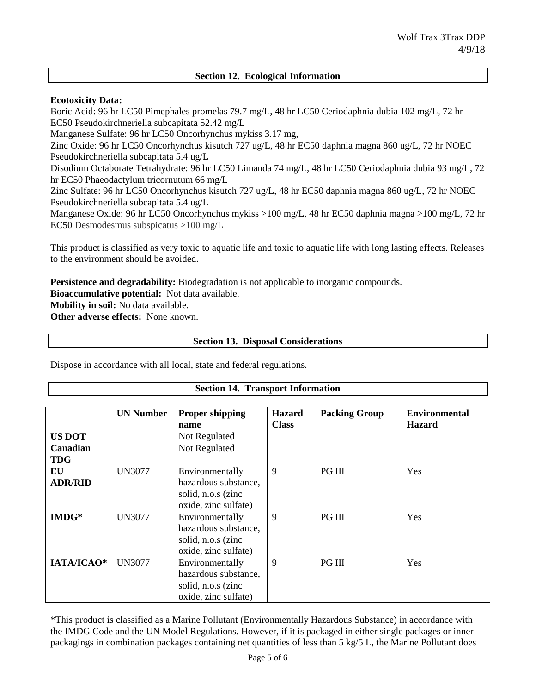## **Section 12. Ecological Information**

## **Ecotoxicity Data:**

Boric Acid: 96 hr LC50 Pimephales promelas 79.7 mg/L, 48 hr LC50 Ceriodaphnia dubia 102 mg/L, 72 hr EC50 Pseudokirchneriella subcapitata 52.42 mg/L

Manganese Sulfate: 96 hr LC50 Oncorhynchus mykiss 3.17 mg,

Zinc Oxide: 96 hr LC50 Oncorhynchus kisutch 727 ug/L, 48 hr EC50 daphnia magna 860 ug/L, 72 hr NOEC Pseudokirchneriella subcapitata 5.4 ug/L

Disodium Octaborate Tetrahydrate: 96 hr LC50 Limanda 74 mg/L, 48 hr LC50 Ceriodaphnia dubia 93 mg/L, 72 hr EC50 Phaeodactylum tricornutum 66 mg/L

Zinc Sulfate: 96 hr LC50 Oncorhynchus kisutch 727 ug/L, 48 hr EC50 daphnia magna 860 ug/L, 72 hr NOEC Pseudokirchneriella subcapitata 5.4 ug/L

Manganese Oxide: 96 hr LC50 Oncorhynchus mykiss >100 mg/L, 48 hr EC50 daphnia magna >100 mg/L, 72 hr EC50 Desmodesmus subspicatus >100 mg/L

This product is classified as very toxic to aquatic life and toxic to aquatic life with long lasting effects. Releases to the environment should be avoided.

**Persistence and degradability:** Biodegradation is not applicable to inorganic compounds. **Bioaccumulative potential:** Not data available. **Mobility in soil:** No data available. **Other adverse effects:** None known.

## **Section 13. Disposal Considerations**

Dispose in accordance with all local, state and federal regulations.

### **Section 14. Transport Information**

|                | <b>UN Number</b> | <b>Proper shipping</b><br>name | <b>Hazard</b><br><b>Class</b> | <b>Packing Group</b> | <b>Environmental</b><br><b>Hazard</b> |
|----------------|------------------|--------------------------------|-------------------------------|----------------------|---------------------------------------|
| <b>US DOT</b>  |                  | Not Regulated                  |                               |                      |                                       |
| Canadian       |                  | Not Regulated                  |                               |                      |                                       |
| <b>TDG</b>     |                  |                                |                               |                      |                                       |
| EU             | UN3077           | Environmentally                | 9                             | <b>PG III</b>        | Yes                                   |
| <b>ADR/RID</b> |                  | hazardous substance,           |                               |                      |                                       |
|                |                  | solid, n.o.s (zinc             |                               |                      |                                       |
|                |                  | oxide, zinc sulfate)           |                               |                      |                                       |
| $IMDG*$        | UN3077           | Environmentally                | 9                             | <b>PG III</b>        | Yes                                   |
|                |                  | hazardous substance,           |                               |                      |                                       |
|                |                  | solid, n.o.s (zinc             |                               |                      |                                       |
|                |                  | oxide, zinc sulfate)           |                               |                      |                                       |
| IATA/ICAO*     | UN3077           | Environmentally                | 9                             | <b>PG III</b>        | Yes                                   |
|                |                  | hazardous substance,           |                               |                      |                                       |
|                |                  | solid, n.o.s (zinc             |                               |                      |                                       |
|                |                  | oxide, zinc sulfate)           |                               |                      |                                       |

\*This product is classified as a Marine Pollutant (Environmentally Hazardous Substance) in accordance with the IMDG Code and the UN Model Regulations. However, if it is packaged in either single packages or inner packagings in combination packages containing net quantities of less than 5 kg/5 L, the Marine Pollutant does